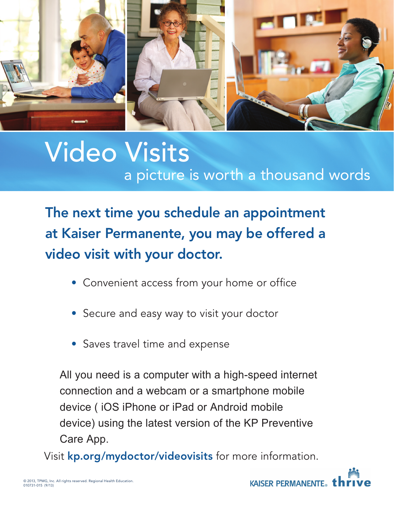

## Video Visits a picture is worth a thousand words

The next time you schedule an appointment at Kaiser Permanente, you may be offered a video visit with your doctor.

- Convenient access from your home or office
- Secure and easy way to visit your doctor
- Saves travel time and expense

All you need is a computer with a high-speed internet connection and a webcam or a smartphone mobile device (iOS iPhone or iPad or Android mobile device) using the latest version of the KP Preventive Care App.

Visit kp.org/mydoctor/videovisits for more information.

**KAISER PERMANENTE.**